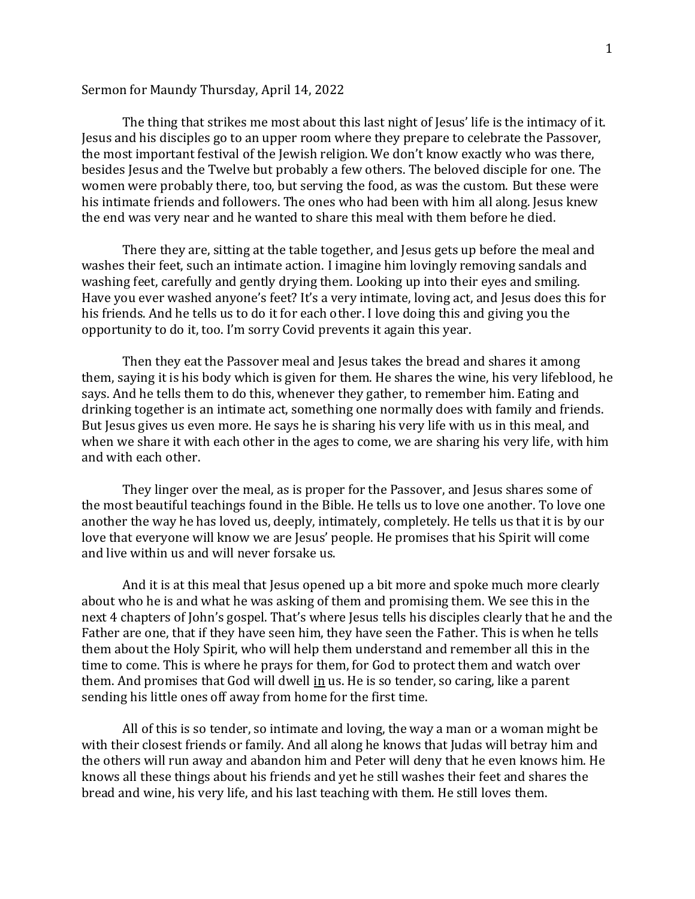## Sermon for Maundy Thursday, April 14, 2022

The thing that strikes me most about this last night of Jesus' life is the intimacy of it. Jesus and his disciples go to an upper room where they prepare to celebrate the Passover, the most important festival of the Jewish religion. We don't know exactly who was there, besides Jesus and the Twelve but probably a few others. The beloved disciple for one. The women were probably there, too, but serving the food, as was the custom. But these were his intimate friends and followers. The ones who had been with him all along. Jesus knew the end was very near and he wanted to share this meal with them before he died.

There they are, sitting at the table together, and Jesus gets up before the meal and washes their feet, such an intimate action. I imagine him lovingly removing sandals and washing feet, carefully and gently drying them. Looking up into their eyes and smiling. Have you ever washed anyone's feet? It's a very intimate, loving act, and Jesus does this for his friends. And he tells us to do it for each other. I love doing this and giving you the opportunity to do it, too. I'm sorry Covid prevents it again this year.

Then they eat the Passover meal and Jesus takes the bread and shares it among them, saying it is his body which is given for them. He shares the wine, his very lifeblood, he says. And he tells them to do this, whenever they gather, to remember him. Eating and drinking together is an intimate act, something one normally does with family and friends. But Jesus gives us even more. He says he is sharing his very life with us in this meal, and when we share it with each other in the ages to come, we are sharing his very life, with him and with each other.

They linger over the meal, as is proper for the Passover, and Jesus shares some of the most beautiful teachings found in the Bible. He tells us to love one another. To love one another the way he has loved us, deeply, intimately, completely. He tells us that it is by our love that everyone will know we are Jesus' people. He promises that his Spirit will come and live within us and will never forsake us.

And it is at this meal that Jesus opened up a bit more and spoke much more clearly about who he is and what he was asking of them and promising them. We see this in the next 4 chapters of John's gospel. That's where Jesus tells his disciples clearly that he and the Father are one, that if they have seen him, they have seen the Father. This is when he tells them about the Holy Spirit, who will help them understand and remember all this in the time to come. This is where he prays for them, for God to protect them and watch over them. And promises that God will dwell in us. He is so tender, so caring, like a parent sending his little ones off away from home for the first time.

All of this is so tender, so intimate and loving, the way a man or a woman might be with their closest friends or family. And all along he knows that Judas will betray him and the others will run away and abandon him and Peter will deny that he even knows him. He knows all these things about his friends and yet he still washes their feet and shares the bread and wine, his very life, and his last teaching with them. He still loves them.